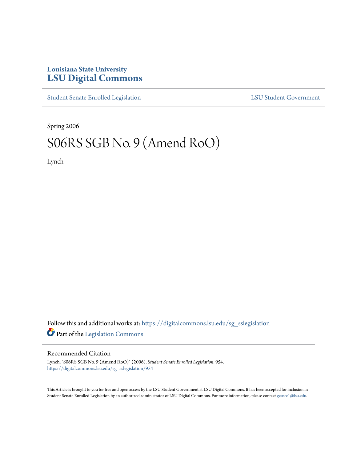## **Louisiana State University [LSU Digital Commons](https://digitalcommons.lsu.edu?utm_source=digitalcommons.lsu.edu%2Fsg_sslegislation%2F954&utm_medium=PDF&utm_campaign=PDFCoverPages)**

[Student Senate Enrolled Legislation](https://digitalcommons.lsu.edu/sg_sslegislation?utm_source=digitalcommons.lsu.edu%2Fsg_sslegislation%2F954&utm_medium=PDF&utm_campaign=PDFCoverPages) [LSU Student Government](https://digitalcommons.lsu.edu/sg?utm_source=digitalcommons.lsu.edu%2Fsg_sslegislation%2F954&utm_medium=PDF&utm_campaign=PDFCoverPages)

Spring 2006

## S06RS SGB No. 9 (Amend RoO)

Lynch

Follow this and additional works at: [https://digitalcommons.lsu.edu/sg\\_sslegislation](https://digitalcommons.lsu.edu/sg_sslegislation?utm_source=digitalcommons.lsu.edu%2Fsg_sslegislation%2F954&utm_medium=PDF&utm_campaign=PDFCoverPages) Part of the [Legislation Commons](http://network.bepress.com/hgg/discipline/859?utm_source=digitalcommons.lsu.edu%2Fsg_sslegislation%2F954&utm_medium=PDF&utm_campaign=PDFCoverPages)

## Recommended Citation

Lynch, "S06RS SGB No. 9 (Amend RoO)" (2006). *Student Senate Enrolled Legislation*. 954. [https://digitalcommons.lsu.edu/sg\\_sslegislation/954](https://digitalcommons.lsu.edu/sg_sslegislation/954?utm_source=digitalcommons.lsu.edu%2Fsg_sslegislation%2F954&utm_medium=PDF&utm_campaign=PDFCoverPages)

This Article is brought to you for free and open access by the LSU Student Government at LSU Digital Commons. It has been accepted for inclusion in Student Senate Enrolled Legislation by an authorized administrator of LSU Digital Commons. For more information, please contact [gcoste1@lsu.edu.](mailto:gcoste1@lsu.edu)